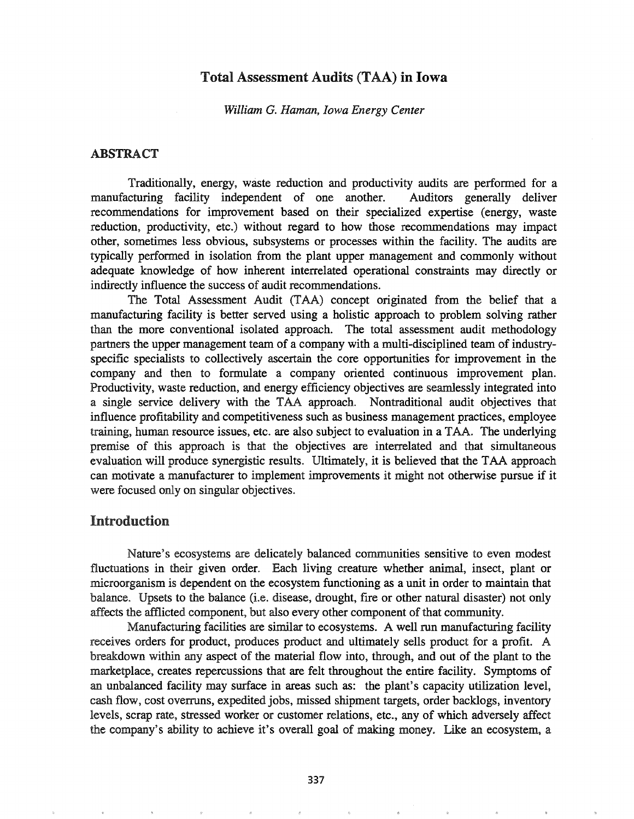### Total Assessment Audits (TAA) in Iowa

*William* G. *Haman, Iowa Energy Center*

### ABSTRACT

Traditionally, energy, waste reduction and productivity audits are performed for a manufacturing facility independent of one another. Auditors generally deliver recommendations for improvement based on their specialized expertise (energy, waste reduction, productivity, etc.) without regard to how those recommendations may impact other, sometimes less obvious, subsystems or processes within the facility. The audits are typically performed in isolation from the plant upper management and commonly without adequate knowledge of how inherent interrelated operational constraints may directly or indirectly influence the success of audit recommendations.

The Total Assessment Audit (TAA) concept originated from the belief that a manufacturing facility is better served using a holistic approach to problem solving rather than the more conventional isolated approach. The total assessment audit methodology partners the upper management team of a company with a multi-disciplined team of industryspecific specialists to collectively ascertain the core opportunities for improvement in the company and then to formulate a company oriented continuous improvement plan. Productivity, waste reduction, and energy efficiency objectives are seamlessly integrated into a single service delivery with the TAA approach. Nontraditional audit objectives that influence profitability and competitiveness such as business management practices, employee training, human resource issues, etc. are also subject to evaluation in a TAA. The underlying premise of this approach is that the objectives are interrelated and that simultaneous evaluation will produce synergistic results. Ultimately, it is believed that the TAA approach can motivate a manufacturer to implement improvements it might not otherwise pursue if it were focused only on singular objectives.

### **Introduction**

Nature's ecosystems are delicately balanced communities sensitive to even modest fluctuations in their given order. Each living creature whether animal, insect, plant or microorganism is dependent on the ecosystem functioning as a unit in order to maintain that balance. Upsets to the balance (i.e. disease, drought, fire or other natural disaster) not only affects the afflicted component, but also every other component of that community.

Manufacturing facilities are similar to ecosystems.. A well run manufacturing facility receives orders for product, produces product and ultimately sells product for a profit.. A breakdown within any aspect of the material flow into, through, and out of the plant to the marketplace, creates repercussions that are felt throughout the entire facility. Symptoms of an unbalanced facility may surface in areas such as: the plant's capacity utilization level, cash flow, cost overruns, expedited jobs, missed shipment targets, order backlogs, inventory levels, scrap rate, stressed worker or customer relations, etc., any of which adversely affect the company's ability to achieve it's overall goal of making money.. Like an ecosystem, a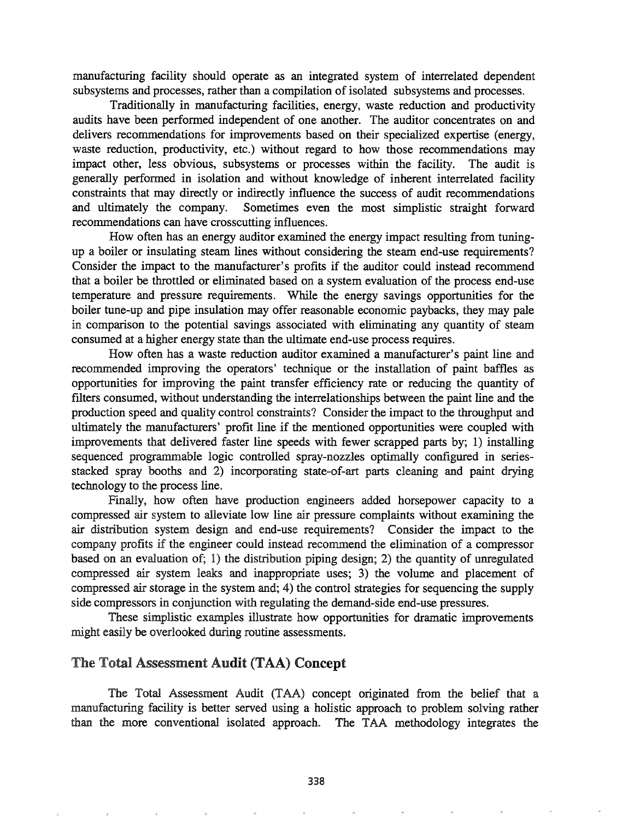manufacturing facility should operate as an integrated system of interrelated dependent subsystems and processes, rather than a compilation of isolated subsystems and processes.

Traditionally in manufacturing facilities, energy, waste reduction and productivity audits have been performed independent of one another. The auditor concentrates on and delivers recommendations for improvements based on their specialized expertise (energy, waste reduction, productivity, etc.) without regard to how those recommendations may impact other, less obvious, subsystems or processes within the facility. The audit is generally performed in isolation and without knowledge of inherent interrelated facility constraints that may directly or indirectly influence the success of audit recommendations and ultimately the company. Sometimes even the most simplistic straight forward recommendations can have crosscutting influences.

How often has an energy auditor examined the energy impact resulting from tuningup a boiler or insulating steam lines without considering the steam end-use requirements? Consider the impact to the manufacturer's profits if the auditor could instead recommend that a boiler be throttled or eliminated based on a system evaluation of the process end-use temperature and pressure requirements. While the energy savings opportunities for the boiler tune-up and pipe insulation may offer reasonable economic paybacks, they may pale in comparison to the potential savings associated with eliminating any quantity of steam consumed at a higher energy state than the ultimate end-use process requires.

How often has a waste reduction auditor examined a manufacturer's paint line and recommended improving the operators' technique or the installation of paint baffles as opportunities for improving the paint transfer efficiency rate or reducing the quantity of filters consumed, without understanding the interrelationships between the paint line and the production speed and quality control constraints? Consider the impact to the throughput and ultimately the manufacturers' profit line if the mentioned opportunities were coupled with improvements that delivered faster line speeds with fewer scrapped parts by; 1) installing sequenced programmable logic controlled spray-nozzles optimally configured in seriesstacked spray booths and 2) incorporating state-of-art parts cleaning and paint drying technology to the process line.

Finally, how often have production engineers added horsepower capacity to a compressed air system to alleviate low line air pressure complaints without examining the air distribution system design and end-use requirements? Consider the impact to the company profits the engineer could instead recommend the elimination of a compressor based on an evaluation of; 1) the distribution piping design; 2) the quantity of unregulated compressed air system leaks and inappropriate uses; 3) the volume and placement of compressed air storage in the system and; 4) the control strategies for sequencing the supply side compressors in conjunction with regulating the demand-side end-use pressures.

These simplistic examples illustrate how opportunities for dramatic improvements might easily be overlooked during routine assessments.

### The Total Assessment Audit (TAA) Concept

The Total Assessment Audit (TAA) concept originated from the belief that a manufacturing facility is better served using a holistic approach to problem solving rather than the more conventional isolated approach. The TAA methodology integrates the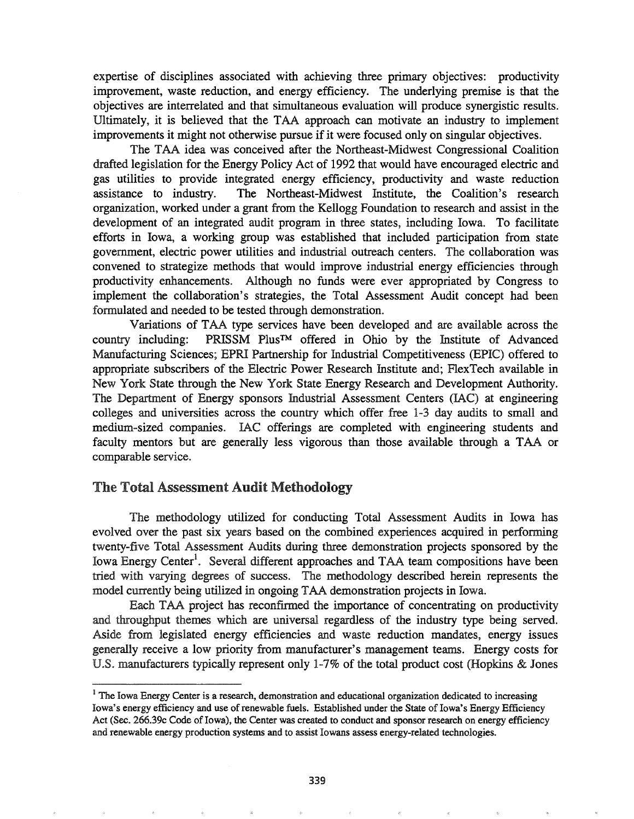expertise of disciplines associated with achieving three primary objectives: productivity improvement, waste reduction, and energy efficiency. The underlying premise is that the objectives are interrelated and that simultaneous evaluation will produce synergistic results. Ultimately, it is believed that the TAA approach can motivate an industry to implement improvements it might not otherwise pursue if it were focused only on singular objectives.

The TAA idea was conceived after the Northeast-Midwest Congressional Coalition drafted legislation for the Energy Policy Act of 1992 that would have encouraged electric and gas utilities to provide integrated energy efficiency, productivity and waste reduction assistance to industry. The Northeast-Midwest Institute, the Coalition's research organization, worked under a grant from the Kellogg Foundation to research and assist in the development of an integrated audit program in three states, including Iowa. To facilitate efforts in Iowa, a working group was established that included participation from state government, electric power utilities and industrial outreach centers. The collaboration was convened to strategize methods that would improve industrial energy efficiencies through productivity enhancements. Although no funds were ever appropriated by Congress to implement the collaboration's strategies, the Total Assessment Audit concept had been formulated and needed to be tested through demonstration.

Variations of TAA type services have been developed and are available across the country including: PRISSM Plus™ offered in Ohio by the Institute of Advanced Manufacturing Sciences; EPRI Partnership for Industrial Competitiveness (EPIC) offered to appropriate subscribers of the Electric Power Research Institute and; FlexTech available in New York State through the New York State Energy Research and Development Authority. The Department of Energy sponsors Industrial Assessment Centers (lAC) at engineering colleges and universities across the country which offer free 1-3 day audits to small and medium-sized companies. IAC offerings are completed with engineering students and faculty mentors but are generally less vigorous than those available through a TAA or comparable service.

# The Total Assessment Audit Methodology

The methodology utilized for conducting Total Assessment Audits in Iowa has evolved over the past six years based on the combined experiences acquired in performing twenty-five Total Assessment Audits during three demonstration projects sponsored by the Iowa Energy Center<sup>1</sup>. Several different approaches and TAA team compositions have been tried with varying degrees of success. The methodology described herein represents the model currently being utilized in ongoing TAA demonstration projects in Iowa.

Each TAA project has reconfirmed the importance of concentrating on productivity and throughput themes which are universal regardless of the industry type being served. Aside from legislated energy efficiencies and waste reduction mandates, energy issues generally receive a low priority from manufacturer's management teams. Energy costs for U.S. manufacturers typically represent only  $1-7\%$  of the total product cost (Hopkins & Jones

<sup>&</sup>lt;sup>1</sup> The Iowa Energy Center is a research, demonstration and educational organization dedicated to increasing Iowa's energy efficiency and use of renewable fuels. Established under the State of Iowa's Energy Efficiency Act (Sec. 266.39c Code of Iowa), the Center was created to conduct and sponsor research on energy efficiency and renewable energy production systems and to assist Iowans assess energy-related technologies.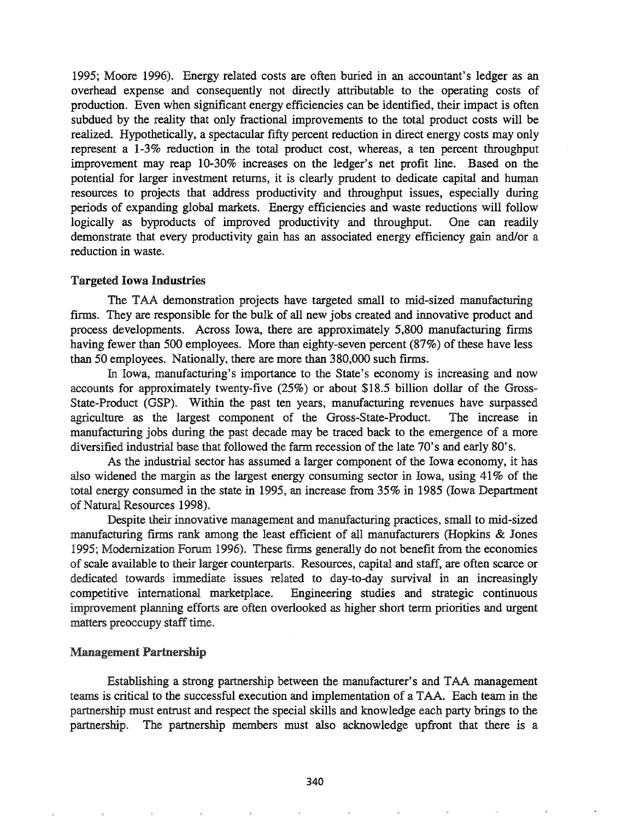1995; Moore 1996). Energy related costs are often buried in an accountant's ledger as an overhead expense and consequently not directly attributable to the operating costs of production. Even when significant energy efficiencies can be identified, their impact is often subdued by the reality that only fractional improvements to the total product costs will be realized. Hypothetically, a spectacular fifty percent reduction in direct energy costs may only represent a 1-3% reduction in the total product cost, whereas, a ten percent throughput improvement may reap 10-30% increases on the ledger's net profit line. Based on the potential for larger investment returns, it is clearly prudent to dedicate capital and human resources to projects that address productivity and throughput issues, especially during periods of expanding global markets. Energy efficiencies and waste reductions will follow logically as byproducts of improved productivity and throughput.. One can readily demonstrate that every productivity gain has an associated energy efficiency gain and/or a reduction in waste..

### Targeted Iowa Industries

The TAA demonstration projects have targeted small to mid-sized manufacturing firms. They are responsible for the bulk of all new jobs created and innovative product and process developments. Across Iowa, there are approximately 5,800 manufacturing firms having fewer than 500 employees. More than eighty-seven percent (87%) of these have less than 50 employees. Nationally, there are more than 380,000 such firms.

In Iowa, manufacturing's importance to the State's economy is increasing and now accounts for approximately twenty-five  $(25%)$  or about \$18.5 billion dollar of the Gross-State-Product (GSP). Within the past ten years, manufacturing revenues have surpassed agriculture as the largest component of the Gross-State-Product. The increase in manufacturing jobs during the past decade may be traced back to the emergence of a more diversified industrial base that followed the farm recession of the late 70's and early 80's.

As the industrial sector has assumed a larger component of the Iowa economy, it has also widened the margin as the largest energy consuming sector in Iowa, using 41% of the total energy consumed in the state in 1995, an increase from 35% in 1985 (Iowa Department of Natural Resources 1998).

Despite their innovative management and manufacturing practices, small to mid-sized manufacturing firms rank among the least efficient of all manufacturers (Hopkins  $\&$  Jones 1995; Modernization Forum 1996). These firms generally do not benefit from the economies of scale available to their larger counterparts. Resources, capital and staff, are often scarce or dedicated towards immediate issues related to day-to-day survival in an increasingly competitive international marketplace. Engineering studies and strategic continuous improvement planning efforts are often overlooked as higher short term priorities and urgent matters preoccupy staff time.

#### Management Partnership

Establishing a strong partnership between the manufacturer's and TAA management teams is critical to the successful execution and implementation of a TAA. Each team in the partnership must entrust and respect the special skills and knowledge each party brings to the partnership. The partnership members must also acknowledge upfront that there is a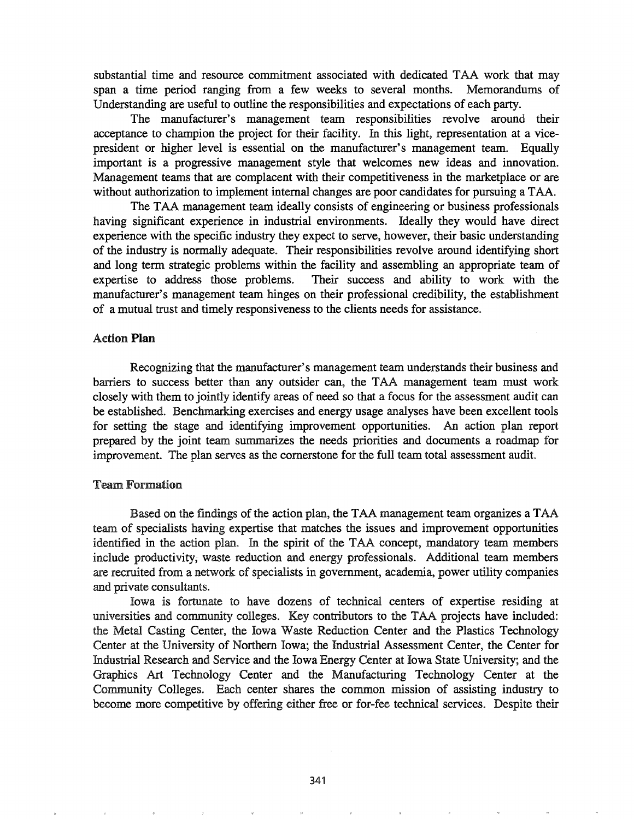substantial time and resource commitment associated with dedicated TAA work that may span a time period ranging from a few weeks to several months. Memorandums of Understanding are useful to outline the responsibilities and expectations of each party.

The manufacturer's management team responsibilities revolve around their acceptance to champion the project for their facility. In this light, representation at a vicepresident or higher level is essential on the manufacturer's management team. Equally important is a progressive management style that welcomes new ideas and innovation. Management teams that are complacent with their competitiveness in the marketplace or are without authorization to implement internal changes are poor candidates for pursuing a TAA.

The TAA management team ideally consists of engineering or business professionals having significant experience in industrial environments. Ideally they would have direct experience with the specific industry they expect to serve, however, their basic understanding of the industry is normally adequate. Their responsibilities revolve around identifying short and long term strategic problems within the facility and assembling an appropriate team of expertise to address those problems. Their success and ability to work with the manufacturer's management team hinges on their professional credibility, the establishment of a mutual trust and timely responsiveness to the clients needs for assistance.

### Action Plan

Recognizing that the manufacturer's management team understands their business and barriers to success better than any outsider can, the TAA management team must work closely with them to jointly identify areas of need so that a focus for the assessment audit can be established. Benchmarking exercises and energy usage analyses have been excellent tools for setting the stage and identifying improvement opportunities. An action plan report prepared by the joint team summarizes the needs priorities and documents a roadmap for improvement. The plan serves as the cornerstone for the full team total assessment audit.

### Team Formation

Based on the findings of the action plan, the TAA management team organizes a TAA team. of specialists having expertise that matches the issues and improvement opportunities identified in the action plan. In the spirit of the TAA concept, mandatory team members include productivity, waste reduction and energy professionals. Additional team members are recruited from a network of specialists in government, academia, power utility companies and private consultants.

Iowa is fortunate to have dozens of technical centers of expertise residing at universities and community colleges. Key contributors to the TAA projects have included: the Metal Casting Center, the Iowa Waste Reduction Center and the Plastics Technology Center at the University of Northern Iowa; the Industrial Assessment Center, the Center for Industrial Research and Service and the Iowa Energy Center at Iowa State University; and the Graphics Art Technology Center and the Manufacturing Technology Center at the Community Colleges. Each center shares the common mission of assisting industry to become more competitive by offering either free or for-fee technical services.. Despite their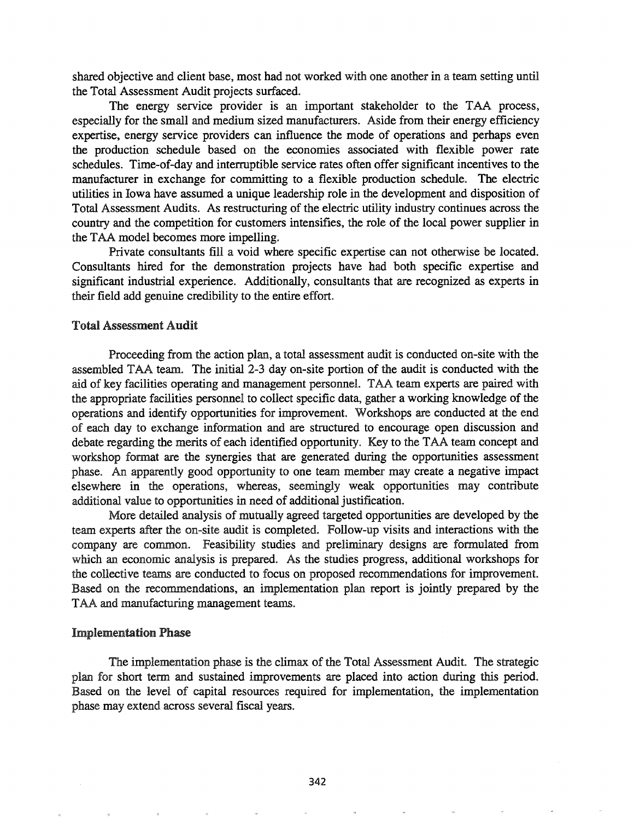shared objective and client base, most had not worked with one another in a team setting until the Total Assessment Audit projects surfaced.

The energy service provider is an important stakeholder to the TAA process, especially for the small and medium sized manufacturers. Aside from their energy efficiency expertise, energy service providers can influence the mode of operations and perhaps even the production schedule based on the economies associated with flexible power rate schedules. Time-of-day and interruptible service rates often offer significant incentives to the manufacturer in exchange for committing to a flexible production schedule. The electric utilities in Iowa have assumed a unique leadership role in the development and disposition of Total Assessment Audits. As restructuring of the electric utility industry continues across the country and the competition for customers intensifies, the role of the local power supplier in the TAA model becomes more impelling.

Private consultants fill a void where specific expertise can not otherwise be located. Consultants hired for the demonstration projects have had both specific expertise and significant industrial experience. Additionally, consultants that are recognized as experts in their field add genuine credibility to the entire effort

#### Total Assessment Audit

Proceeding from the action plan, a total assessment audit is conducted on-site with the assembled TAA team. The initial 2-3 day on-site portion of the audit is conducted with the aid of key facilities operating and management personnel. TAA team experts are paired with the appropriate facilities personnel to collect specific data, gather a working knowledge of the operations and identify opportunities for improvement. Workshops are conducted at the end of each day to exchange information and are structured to encourage open discussion and debate regarding the merits of each identified opportunity. Key to the TAA team concept and workshop format are the synergies that are generated during the opportunities assessment phase. An apparently good opportunity to one team member may create a negative impact elsewhere in the operations, whereas, seemingly weak opportunities may contribute additional value to opportunities in need of additional justification.

More detailed analysis of mutually agreed targeted opportunities are developed by the team experts after the on-site audit is completed. Follow-up visits and interactions with the company are common. Feasibility studies and preliminary designs are formulated from which an economic analysis is prepared. As the studies progress, additional workshops for the collective teams are conducted to focus on proposed recommendations for improvement. Based on the recommendations, an implementation plan report is jointly prepared by the TAA and manufacturing management teams.

#### Implementation Phase

The implementation phase is the climax of the Total Assessment Audit. The strategic plan for short term and sustained improvements are placed into action during this period. Based on the level of capital resources required for implementation, the implementation phase may extend across several fiscal years.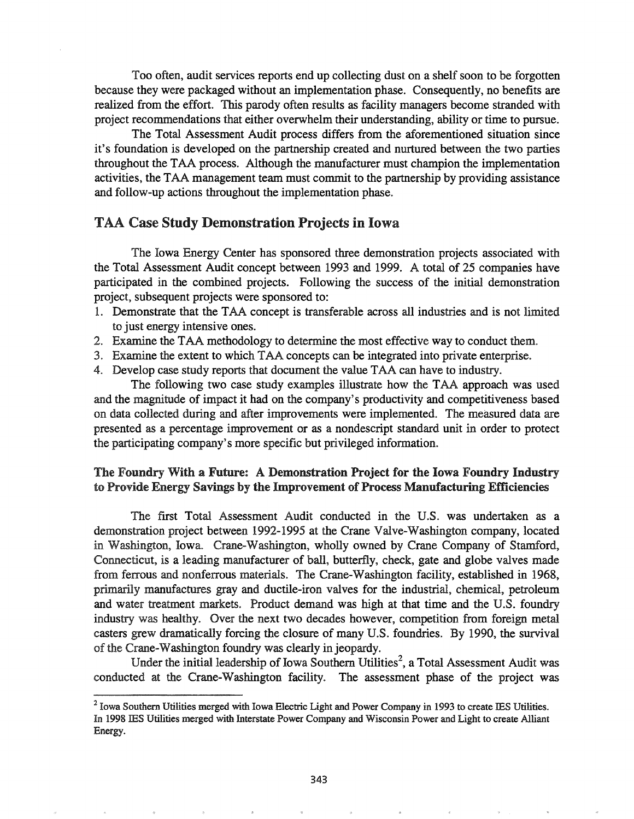Too often, audit services reports end up collecting dust on a shelf soon to be forgotten because they were packaged without an implementation phase. Consequently, no benefits are realized from the effort. This parody often results as facility managers become stranded with project recommendations that either overwhelm their understanding, ability or time to pursue.

The Total Assessment Audit process differs from the aforementioned situation since it's foundation is developed on the partnership created and nurtured between the two parties throughout the TAA process. Although the manufacturer must champion the implementation activities, the TAA management team must commit to the partnership by providing assistance and follow-up actions throughout the implementation phase.

## TAA Case Study Demonstration Projects in Iowa

The Iowa Energy Center has sponsored three demonstration projects associated with the Total Assessment Audit concept between 1993 and 1999. A total of 25 companies have participated in the combined projects. Following the success of the initial demonstration project, subsequent projects were sponsored to:

- 1. Demonstrate that the TAA concept is transferable across all industries and is not limited to just energy intensive ones.
- 2. Examine the TAA methodology to determine the most effective way to conduct them.
- 3. Examine the extent to which TAA concepts can be integrated into private enterprise.
- Develop case study reports that document the value TAA can have to industry.

The following two case study examples illustrate how the TAA approach was used and the magnitude of impact it had on the company's productivity and competitiveness based on data collected during and after improvements were implemented. The measured data are presented as a percentage improvement or as a nondescript standard unit in order to protect the participating company's more specific but privileged information.

## The Foundry With a Future: A Demonstration Project for the Iowa Foundry Industry to Provide Energy Savings by the Improvement of Process Manufacturing Efficiencies

The first Total Assessment Audit conducted in the U.S. was undertaken as a demonstration project between 1992-1995 at the Crane Valve-Washington company, located in Washington, Iowa. Crane-Washington, wholly owned by Crane Company of Stamford, Connecticut, is a leading manufacturer of ball, butterfly, check, gate and globe valves made from ferrous and nonferrous materials. The Crane-Washington facility, established in 1968, primarily manufactures gray and ductile-iron valves for the industrial, chemical, petroleum and water treatment markets.. Product demand was high at that time and the U.S. foundry industry was healthy. Over the next two decades however, competition from foreign metal casters grew dramatically forcing the closure of many U.S. foundries. By 1990, the survival of the Crane-Washington foundry was clearly in jeopardy.

Under the initial leadership of Iowa Southern Utilities<sup>2</sup>, a Total Assessment Audit was conducted at the Crane-Washington facility.. The assessment phase of the project was

 $2$  Iowa Southern Utilities merged with Iowa Electric Light and Power Company in 1993 to create IES Utilities. In 1998 IES Utilities merged with Interstate Power Company and Wisconsin Power and Light to create Alliant Energy.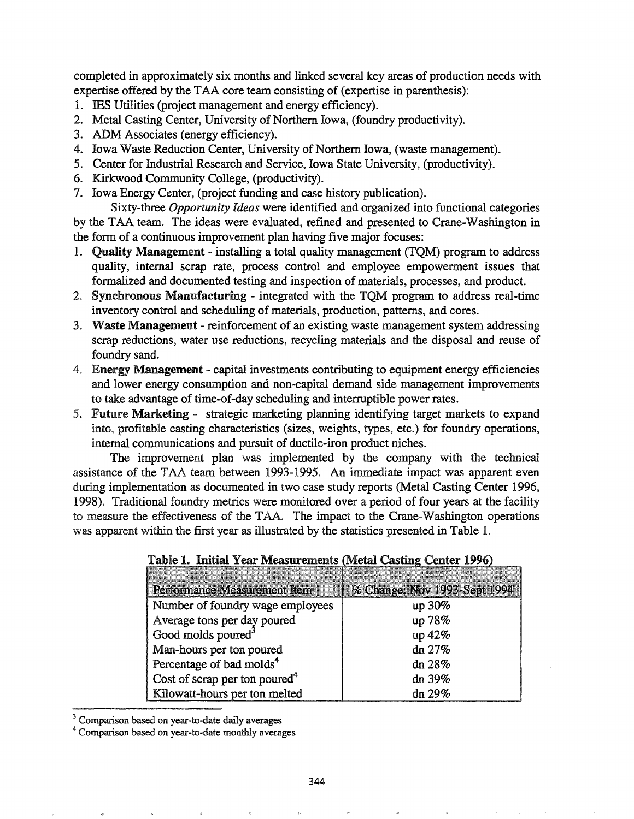completed in approximately six months and linked several key areas of production needs with expertise offered by the TAA core team consisting of (expertise in parenthesis):

- 1. IES Utilities (project management and energy efficiency)..
- 2. Metal Casting Center, University of Northem Iowa, (foundry productivity)..
- 3. ADM Associates (energy efficiency).
- 4. Iowa Waste Reduction Center, University of Northem Iowa, (waste management).
- 5. Center for Industrial Research and Service, Iowa State University, (productivity).
- 6. Kirkwood Community College, (productivity).
- 7.. Iowa Energy Center, (project funding and case history publication).

Sixty-three *Opportunity Ideas* were identified and organized into functional categories by the TAA team. The ideas were evaluated, refined and presented to Crane-Washington in the form of a continuous improvement plan having five major focuses:

- 1. Quality Management installing a total quality management (TQM) program to address quality, internal scrap rate, process control and employee empowerment issues that formalized and documented testing and inspection of materials, processes, and product.
- 2. Synchronous Manufacturing integrated with the TQM program to address real-time inventory control and scheduling of materials, production, patterns, and cores.
- 3. Waste Management reinforcement of an existing waste management system addressing scrap reductions, water use reductions, recycling materials and the disposal and reuse of foundry sand.
- Energy Management capital investments contributing to equipment energy efficiencies and lower energy consumption and non-capital demand side management improvements to take advantage of time-of-day scheduling and interruptible power rates.
- Future Marketing strategic marketing planning identifying target markets to expand into, profitable casting characteristics (sizes, weights, types, etc.) for foundry operations, internal communications and pursuit of ductile-iron product niches.

The improvement plan was implemented by the company with the technical assistance of the TAA team between 1993-1995. An immediate impact was apparent even during implementation as documented in two case study reports (Metal Casting Center 1996, 1998). Traditional foundry metrics were monitored over a period of four years at the facility to measure the effectiveness of the TAA.. The impact to the Crane-Washington operations was apparent within the first year as illustrated by the statistics presented in Table 1.

| Performance Measurement Item              | % Change: Nov 1993-Sept 1994 |
|-------------------------------------------|------------------------------|
| Number of foundry wage employees          | up 30%                       |
| Average tons per day poured               | up 78%                       |
| Good molds poured <sup>3</sup>            | up 42%                       |
| Man-hours per ton poured                  | dn 27%                       |
| Percentage of bad molds <sup>4</sup>      | dn 28%                       |
| Cost of scrap per ton poured <sup>4</sup> | dn 39%                       |
| Kilowatt-hours per ton melted             | dn 29%                       |

Table 1. Initial Year Measurements (Metal Casting Center 1996)

<sup>3</sup> Comparison based on year-to-date daily averages

4 Comparison based on year-to-date monthly averages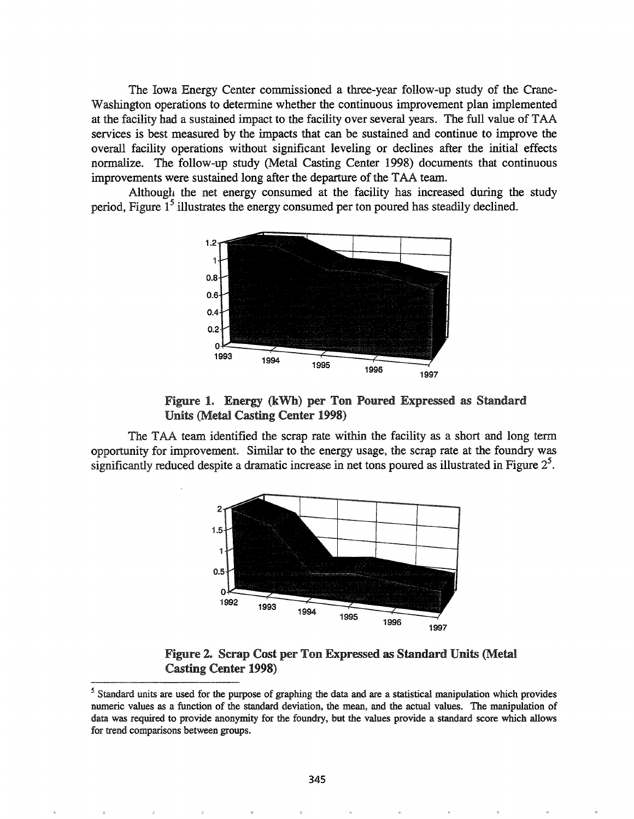The Iowa Energy Center commissioned a three-year follow-up study of the Crane-Washington operations to determine whether the continuous improvement plan implemented at the facility had a sustained impact to the facility over several years. The full value of TAA services is best measured by the impacts that can be sustained and continue to improve the overall facility operations without significant leveling or declines after the initial effects normalize. The follow-up study (Metal Casting Center 1998) documents that continuous improvements were sustained long after the departure of the TAA team.

Although the net energy consumed at the facility has increased during the study period, Figure  $1<sup>5</sup>$  illustrates the energy consumed per ton poured has steadily declined.



Figure 1. Energy (kWh) per Ton Poured Expressed as Standard **Units (Metal Casting Center 1998)** 

The TAA team identified the scrap rate within the facility as a short and long term opportunity for improvement. Similar to the energy usage, the scrap rate at the foundry was significantly reduced despite a dramatic increase in net tons poured as illustrated in Figure  $2^5$ .





*<sup>5</sup>* Standard units are used for the purpose of graphing the data and are a statistical manipulation which provides numeric values as a function of the standard deviation, the mean, and the actual values. The manipulation of data was required to provide anonymity for the foundry, but the values provide a standard score which allows for trend comparisons between groups..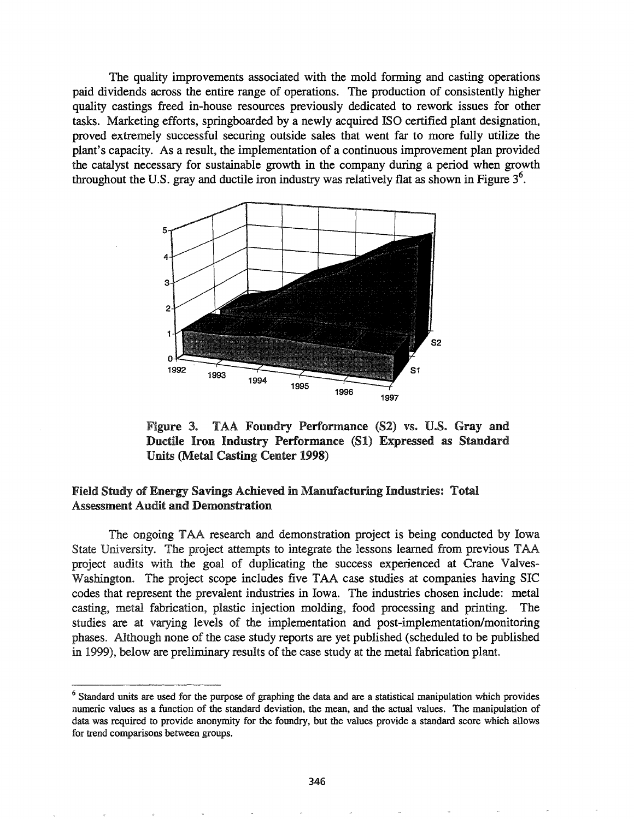The quality improvements associated with the mold forming and casting operations paid dividends across the entire range of operations. The production of consistently higher quality castings freed in-house resources previously dedicated to rework issues for other tasks. Marketing efforts, springboarded by a newly acquired *ISO* certified plant designation, proved extremely successful securing outside sales that went far to more fully utilize the plant's capacity. As a result, the implementation of a continuous improvement plan provided the catalyst necessary for sustainable growth in the company during a period when growth throughout the U.S. gray and ductile iron industry was relatively flat as shown in Figure  $3<sup>6</sup>$ .



Figure 3. TAA Foundry Performance (S2) vs. U.S. Gray and Ductile Iron Industry Performance (81) Expressed as Standard Units (Metal Casting Center 1998)

## Field Study of Energy Savings Achieved in Manufacturing Industries: Total Assessment Audit and Demonstration

The ongoing TAA research and demonstration project is being conducted by Iowa State University. The project attempts to integrate the lessons learned from previous TAA project audits with the goal of duplicating the success experienced at Crane Valves-Washington. The project scope includes five TAA case studies at companies having SIC codes that represent the prevalent industries in Iowa. The industries chosen include: metal casting, metal fabrication, plastic injection molding, food processing and printing. The studies are at varying levels of the implementation and post-implementation/monitoring phases" Although none of the case study reports are yet published (scheduled to be published in 1999), below are preliminary results of the case study at the metal fabrication plant.

<sup>&</sup>lt;sup>6</sup> Standard units are used for the purpose of graphing the data and are a statistical manipulation which provides numeric values as a function of the standard deviation, the mean, and the actual values. The manipulation of data was required to provide anonymity for the foundry, but the values provide a standard score which allows for trend comparisons between groups.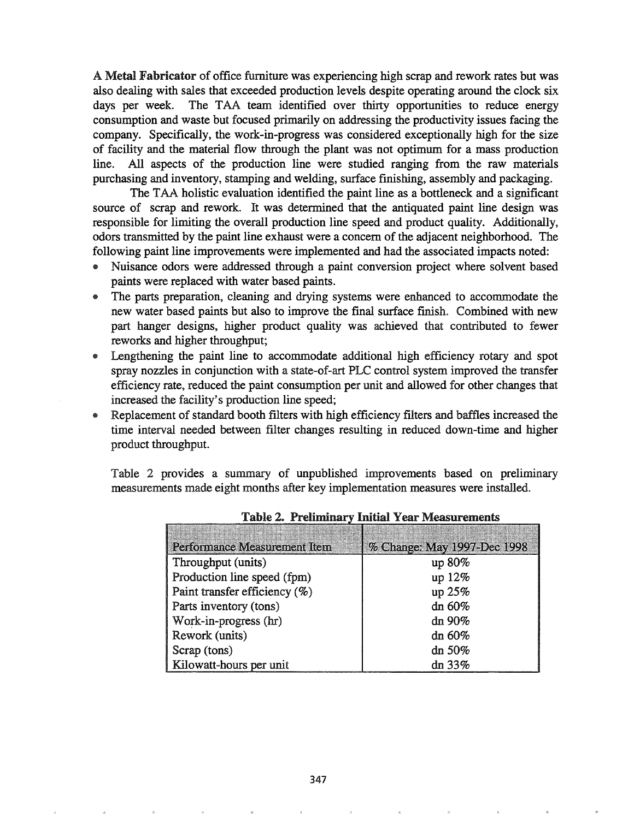A Metal Fabricator of office furniture was experiencing high scrap and rework rates but was also dealing with sales that exceeded production levels despite operating around the clock six days per week. The TAA team identified over thirty opportunities to reduce energy consumption and waste but focused primarily on addressing the productivity issues facing the company. Specifically, the work-in-progress was considered exceptionally high for the size of facility and the material flow through the plant was not optimum for a mass production line. All aspects of the production line were studied ranging from the raw materials purchasing and inventory, stamping and welding, surface finishing, assembly and packaging.

The TAA holistic evaluation identified the paint line as a bottleneck and a significant source of scrap and rework. It was determined that the antiquated paint line design was responsible for limiting the overall production line speed and product quality. Additionally, odors transmitted by the paint line exhaust were a concern of the adjacent neighborhood. The following paint line improvements were implemented and had the associated impacts noted:

- Nuisance odors were addressed through a paint conversion project where solvent based paints were replaced with water based paints.
- The parts preparation, cleaning and drying systems were enhanced to accommodate the new water based paints but also to improve the final surface finish. Combined with new part hanger designs, higher product quality was achieved that contributed to fewer reworks and higher throughput;
- Lengthening the paint line to accommodate additional high efficiency rotary and spot spray nozzles in conjunction with a state-of-art PLC control system improved the transfer efficiency rate, reduced the paint consumption per unit and allowed for other changes that increased the facility's production line speed;
- Replacement of standard booth filters with high efficiency filters and baffles increased the time interval needed between filter changes resulting in reduced down-time and higher product throughput.

Table 2 provides a summary of unpublished improvements based on preliminary measurements made eight months after key implementation measures were installed..

| Performance Measurement Item  | % Change: May 1997-Dec 1998 |
|-------------------------------|-----------------------------|
| Throughput (units)            | up 80%                      |
| Production line speed (fpm)   | up 12%                      |
| Paint transfer efficiency (%) | up 25%                      |
| Parts inventory (tons)        | dn 60%                      |
| Work-in-progress (hr)         | dn 90%                      |
| Rework (units)                | dn 60%                      |
| Scrap (tons)                  | dn 50%                      |
| Kilowatt-hours per unit       | dn 33%                      |

**Table 2. Preliminary Initial Year Measurements**